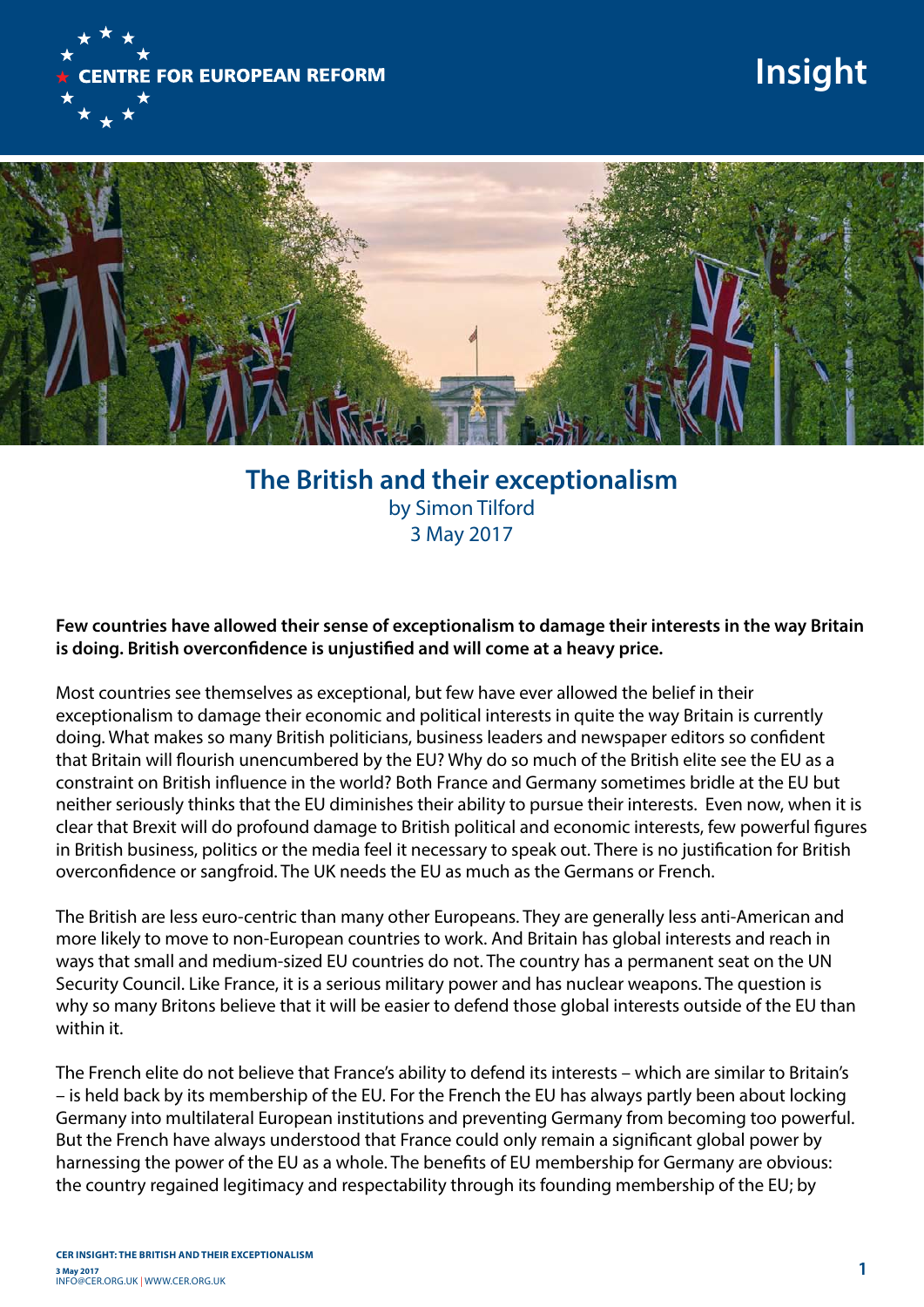

## **Insight**



## **The British and their exceptionalism**  by Simon Tilford 3 May 2017

## **Few countries have allowed their sense of exceptionalism to damage their interests in the way Britain is doing. British overconfidence is unjustified and will come at a heavy price.**

Most countries see themselves as exceptional, but few have ever allowed the belief in their exceptionalism to damage their economic and political interests in quite the way Britain is currently doing. What makes so many British politicians, business leaders and newspaper editors so confident that Britain will flourish unencumbered by the EU? Why do so much of the British elite see the EU as a constraint on British influence in the world? Both France and Germany sometimes bridle at the EU but neither seriously thinks that the EU diminishes their ability to pursue their interests. Even now, when it is clear that Brexit will do profound damage to British political and economic interests, few powerful figures in British business, politics or the media feel it necessary to speak out. There is no justification for British overconfidence or sangfroid. The UK needs the EU as much as the Germans or French.

The British are less euro-centric than many other Europeans. They are generally less anti-American and more likely to move to non-European countries to work. And Britain has global interests and reach in ways that small and medium-sized EU countries do not. The country has a permanent seat on the UN Security Council. Like France, it is a serious military power and has nuclear weapons. The question is why so many Britons believe that it will be easier to defend those global interests outside of the EU than within it.

The French elite do not believe that France's ability to defend its interests – which are similar to Britain's – is held back by its membership of the EU. For the French the EU has always partly been about locking Germany into multilateral European institutions and preventing Germany from becoming too powerful. But the French have always understood that France could only remain a significant global power by harnessing the power of the EU as a whole. The benefits of EU membership for Germany are obvious: the country regained legitimacy and respectability through its founding membership of the EU; by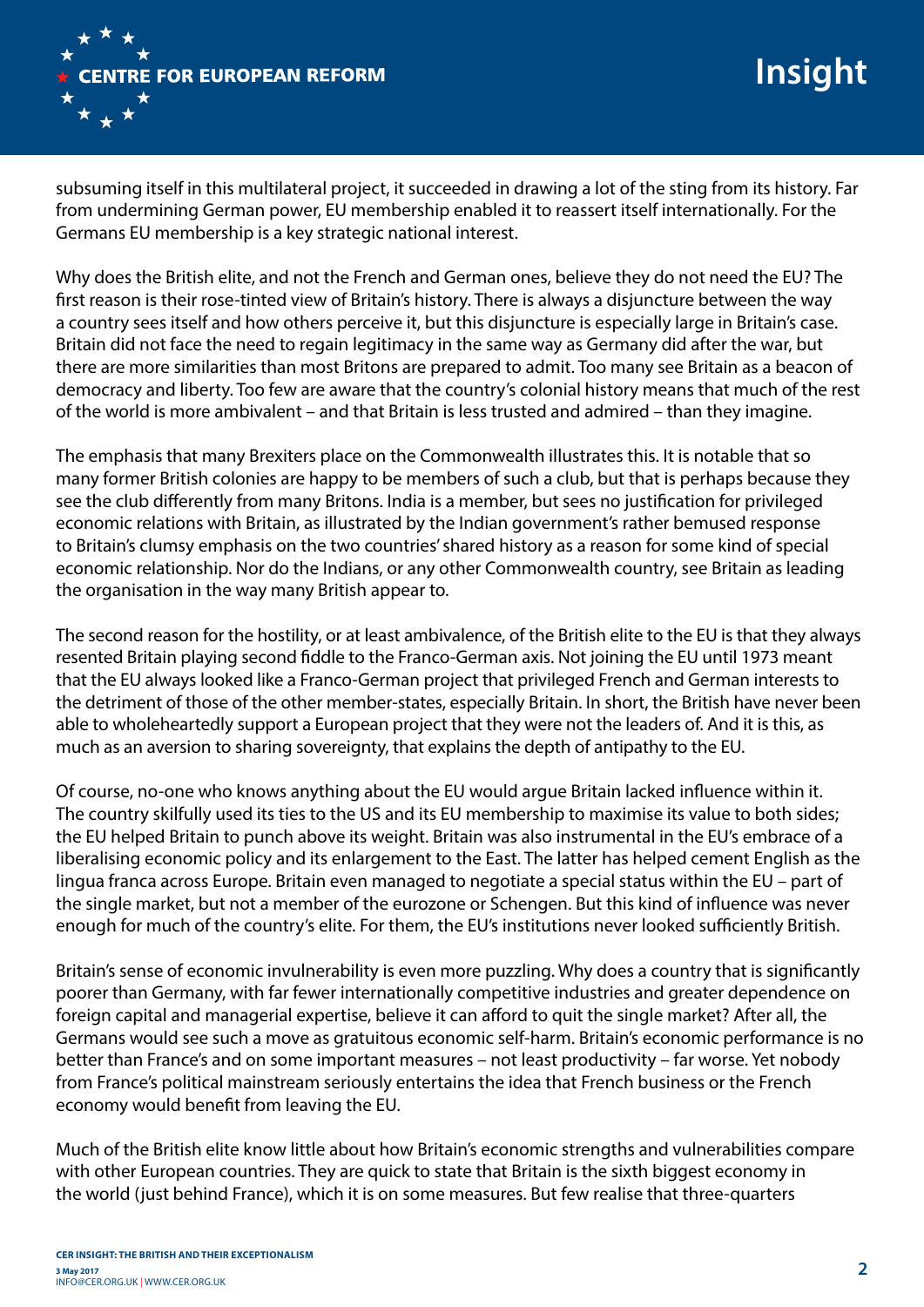

subsuming itself in this multilateral project, it succeeded in drawing a lot of the sting from its history. Far from undermining German power, EU membership enabled it to reassert itself internationally. For the Germans EU membership is a key strategic national interest.

Why does the British elite, and not the French and German ones, believe they do not need the EU? The first reason is their rose-tinted view of Britain's history. There is always a disjuncture between the way a country sees itself and how others perceive it, but this disjuncture is especially large in Britain's case. Britain did not face the need to regain legitimacy in the same way as Germany did after the war, but there are more similarities than most Britons are prepared to admit. Too many see Britain as a beacon of democracy and liberty. Too few are aware that the country's colonial history means that much of the rest of the world is more ambivalent – and that Britain is less trusted and admired – than they imagine.

The emphasis that many Brexiters place on the Commonwealth illustrates this. It is notable that so many former British colonies are happy to be members of such a club, but that is perhaps because they see the club differently from many Britons. India is a member, but sees no justification for privileged economic relations with Britain, as illustrated by the Indian government's rather bemused response to Britain's clumsy emphasis on the two countries' shared history as a reason for some kind of special economic relationship. Nor do the Indians, or any other Commonwealth country, see Britain as leading the organisation in the way many British appear to.

The second reason for the hostility, or at least ambivalence, of the British elite to the EU is that they always resented Britain playing second fiddle to the Franco-German axis. Not joining the EU until 1973 meant that the EU always looked like a Franco-German project that privileged French and German interests to the detriment of those of the other member-states, especially Britain. In short, the British have never been able to wholeheartedly support a European project that they were not the leaders of. And it is this, as much as an aversion to sharing sovereignty, that explains the depth of antipathy to the EU.

Of course, no-one who knows anything about the EU would argue Britain lacked influence within it. The country skilfully used its ties to the US and its EU membership to maximise its value to both sides; the EU helped Britain to punch above its weight. Britain was also instrumental in the EU's embrace of a liberalising economic policy and its enlargement to the East. The latter has helped cement English as the lingua franca across Europe. Britain even managed to negotiate a special status within the EU – part of the single market, but not a member of the eurozone or Schengen. But this kind of influence was never enough for much of the country's elite. For them, the EU's institutions never looked sufficiently British.

Britain's sense of economic invulnerability is even more puzzling. Why does a country that is significantly poorer than Germany, with far fewer internationally competitive industries and greater dependence on foreign capital and managerial expertise, believe it can afford to quit the single market? After all, the Germans would see such a move as gratuitous economic self-harm. Britain's economic performance is no better than France's and on some important measures – not least productivity – far worse. Yet nobody from France's political mainstream seriously entertains the idea that French business or the French economy would benefit from leaving the EU.

Much of the British elite know little about how Britain's economic strengths and vulnerabilities compare with other European countries. They are quick to state that Britain is the sixth biggest economy in the world (just behind France), which it is on some measures. But few realise that three-quarters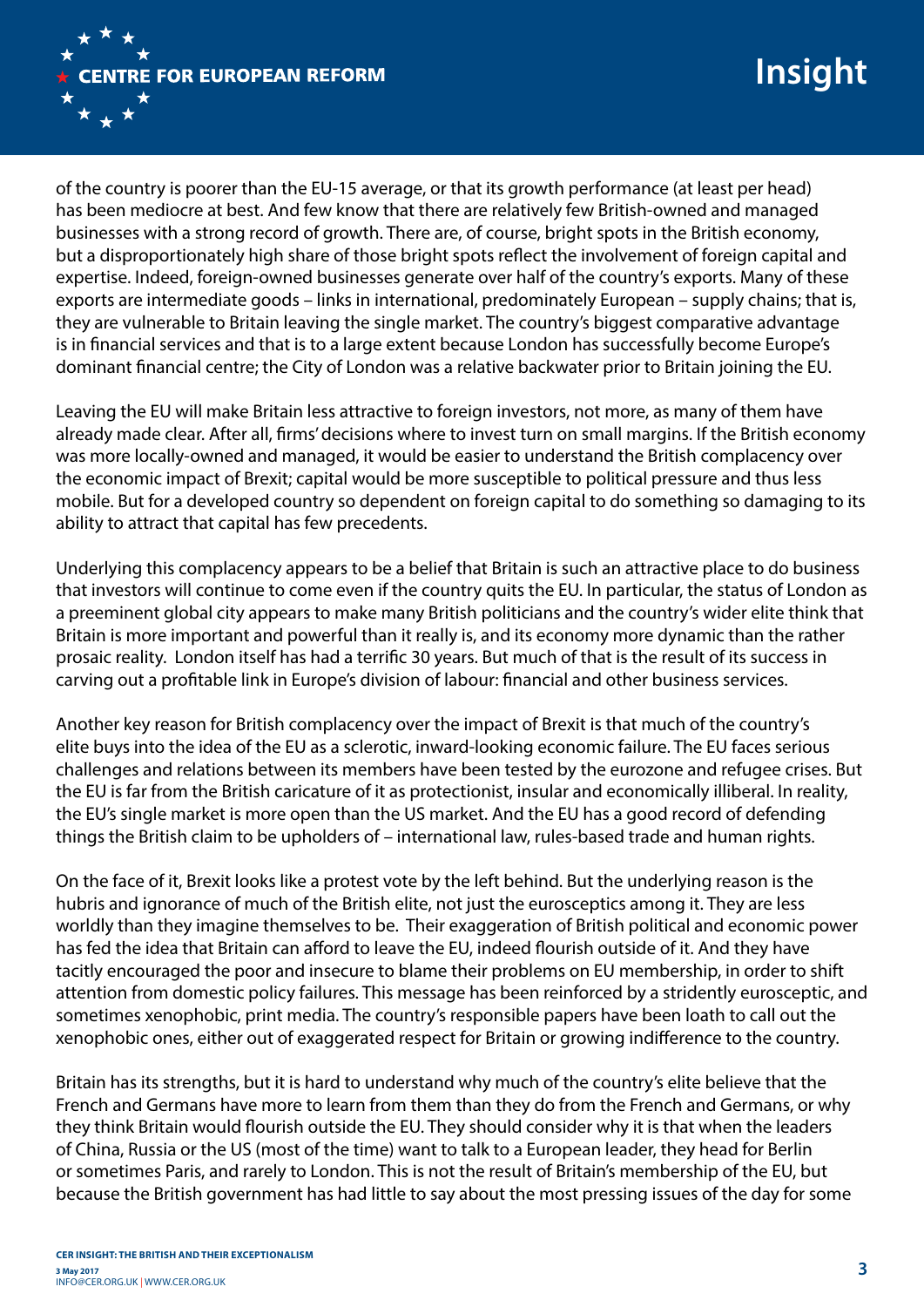

of the country is poorer than the EU-15 average, or that its growth performance (at least per head) has been mediocre at best. And few know that there are relatively few British-owned and managed businesses with a strong record of growth. There are, of course, bright spots in the British economy, but a disproportionately high share of those bright spots reflect the involvement of foreign capital and expertise. Indeed, foreign-owned businesses generate over half of the country's exports. Many of these exports are intermediate goods – links in international, predominately European – supply chains; that is, they are vulnerable to Britain leaving the single market. The country's biggest comparative advantage is in financial services and that is to a large extent because London has successfully become Europe's dominant financial centre; the City of London was a relative backwater prior to Britain joining the EU.

Leaving the EU will make Britain less attractive to foreign investors, not more, as many of them have already made clear. After all, firms' decisions where to invest turn on small margins. If the British economy was more locally-owned and managed, it would be easier to understand the British complacency over the economic impact of Brexit; capital would be more susceptible to political pressure and thus less mobile. But for a developed country so dependent on foreign capital to do something so damaging to its ability to attract that capital has few precedents.

Underlying this complacency appears to be a belief that Britain is such an attractive place to do business that investors will continue to come even if the country quits the EU. In particular, the status of London as a preeminent global city appears to make many British politicians and the country's wider elite think that Britain is more important and powerful than it really is, and its economy more dynamic than the rather prosaic reality. London itself has had a terrific 30 years. But much of that is the result of its success in carving out a profitable link in Europe's division of labour: financial and other business services.

Another key reason for British complacency over the impact of Brexit is that much of the country's elite buys into the idea of the EU as a sclerotic, inward-looking economic failure. The EU faces serious challenges and relations between its members have been tested by the eurozone and refugee crises. But the EU is far from the British caricature of it as protectionist, insular and economically illiberal. In reality, the EU's single market is more open than the US market. And the EU has a good record of defending things the British claim to be upholders of – international law, rules-based trade and human rights.

On the face of it, Brexit looks like a protest vote by the left behind. But the underlying reason is the hubris and ignorance of much of the British elite, not just the eurosceptics among it. They are less worldly than they imagine themselves to be. Their exaggeration of British political and economic power has fed the idea that Britain can afford to leave the EU, indeed flourish outside of it. And they have tacitly encouraged the poor and insecure to blame their problems on EU membership, in order to shift attention from domestic policy failures. This message has been reinforced by a stridently eurosceptic, and sometimes xenophobic, print media. The country's responsible papers have been loath to call out the xenophobic ones, either out of exaggerated respect for Britain or growing indifference to the country.

Britain has its strengths, but it is hard to understand why much of the country's elite believe that the French and Germans have more to learn from them than they do from the French and Germans, or why they think Britain would flourish outside the EU. They should consider why it is that when the leaders of China, Russia or the US (most of the time) want to talk to a European leader, they head for Berlin or sometimes Paris, and rarely to London. This is not the result of Britain's membership of the EU, but because the British government has had little to say about the most pressing issues of the day for some